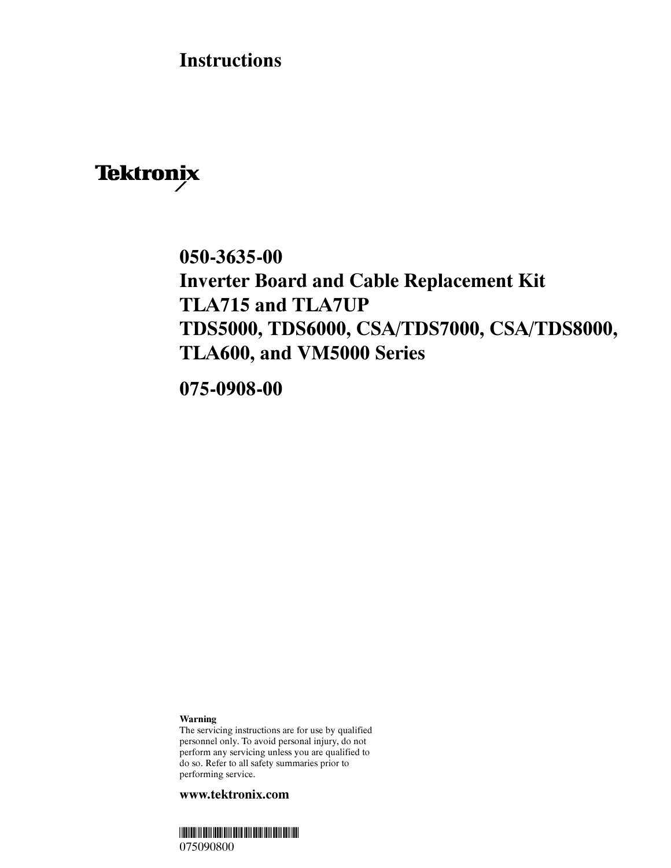Instructions

### Tektronix

050-3635-00 Inverter Board and Cable Replacement Kit TLA715 and TLA7UP TDS5000, TDS6000, CSA/TDS7000, CSA/TDS8000, TLA600, and VM5000 Series

075-0908-00

The servicing instructions are for use by qualified personnel only. To avoid personal injury, do not perform any servicing unless you are qualified to do so. Refer to all safety summaries prior to performing service.

www.tektronix.com

-- 075090800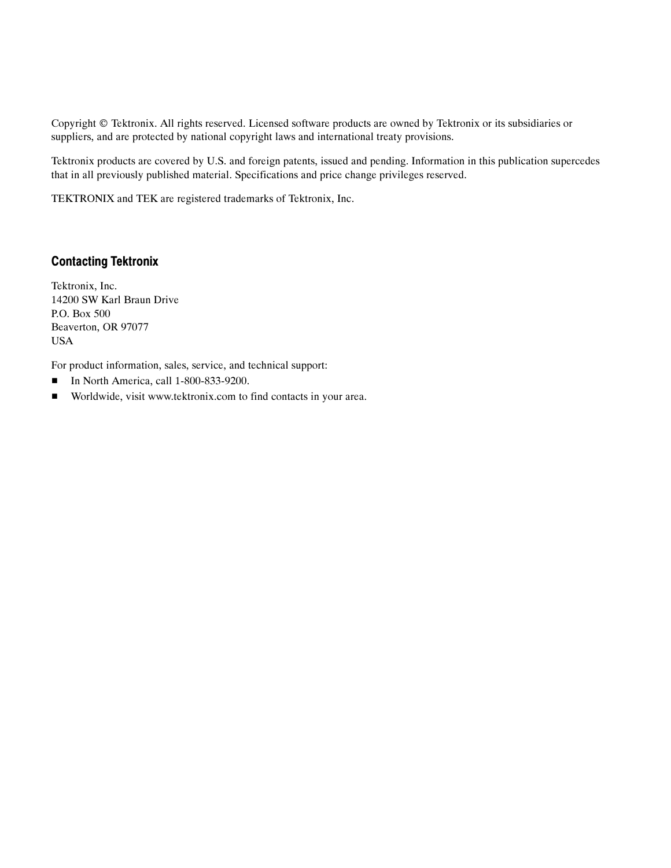Copyright © Tektronix. All rights reserved. Licensed software products are owned by Tektronix or its subsidiaries or suppliers, and are protected by national copyright laws and international treaty provisions.

Tektronix products are covered by U.S. and foreign patents, issued and pending. Information in this publication supercedes that in all previously published material. Specifications and price change privileges reserved.

TEKTRONIX and TEK are registered trademarks of Tektronix, Inc.

#### Contacting Tektronix

Tektronix, Inc. 14200 SW Karl Braun Drive P.O. Box 500 Beaverton, OR 97077 USA

For product information, sales, service, and technical support:

- -In North America, call 1-800-833-9200.
- -Worldwide, visit www.tektronix.com to find contacts in your area.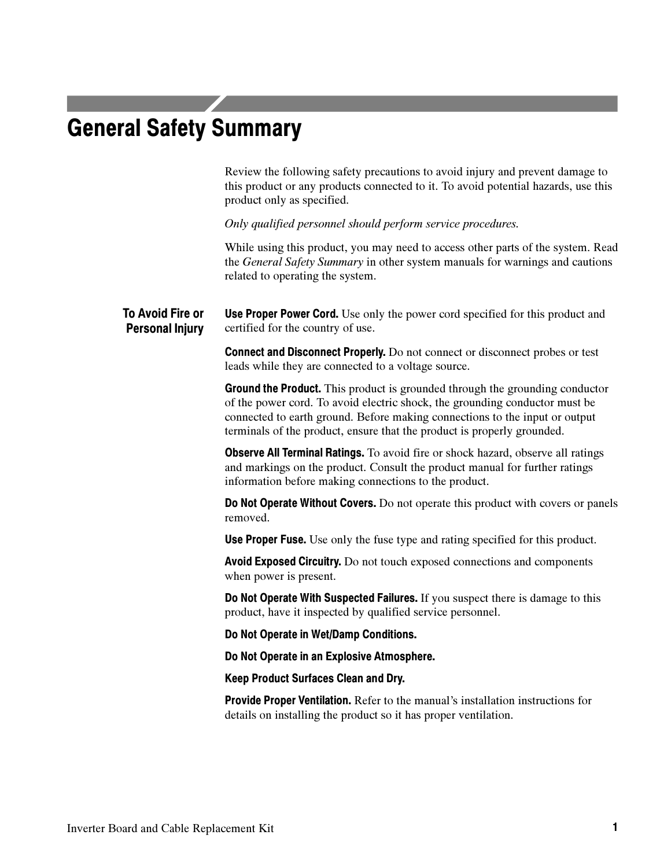# General Safety Summary

Review the following safety precautions to avoid injury and prevent damage to this product or any products connected to it. To avoid potential hazards, use this product only as specified.

Only qualified personnel should perform service procedures.

While using this product, you may need to access other parts of the system. Read the General Safety Summary in other system manuals for warnings and cautions related to operating the system.

| <b>To Avoid Fire or</b><br><b>Personal Injury</b> | <b>Use Proper Power Cord.</b> Use only the power cord specified for this product and<br>certified for the country of use.                                                                                                                                                                                             |  |  |  |  |  |
|---------------------------------------------------|-----------------------------------------------------------------------------------------------------------------------------------------------------------------------------------------------------------------------------------------------------------------------------------------------------------------------|--|--|--|--|--|
|                                                   | <b>Connect and Disconnect Properly.</b> Do not connect or disconnect probes or test<br>leads while they are connected to a voltage source.                                                                                                                                                                            |  |  |  |  |  |
|                                                   | Ground the Product. This product is grounded through the grounding conductor<br>of the power cord. To avoid electric shock, the grounding conductor must be<br>connected to earth ground. Before making connections to the input or output<br>terminals of the product, ensure that the product is properly grounded. |  |  |  |  |  |
|                                                   | <b>Observe All Terminal Ratings.</b> To avoid fire or shock hazard, observe all ratings<br>and markings on the product. Consult the product manual for further ratings<br>information before making connections to the product.                                                                                       |  |  |  |  |  |
|                                                   | Do Not Operate Without Covers. Do not operate this product with covers or panels<br>removed.                                                                                                                                                                                                                          |  |  |  |  |  |
|                                                   | <b>Use Proper Fuse.</b> Use only the fuse type and rating specified for this product.                                                                                                                                                                                                                                 |  |  |  |  |  |
|                                                   | Avoid Exposed Circuitry. Do not touch exposed connections and components<br>when power is present.                                                                                                                                                                                                                    |  |  |  |  |  |
|                                                   | Do Not Operate With Suspected Failures. If you suspect there is damage to this<br>product, have it inspected by qualified service personnel.                                                                                                                                                                          |  |  |  |  |  |
|                                                   | Do Not Operate in Wet/Damp Conditions.                                                                                                                                                                                                                                                                                |  |  |  |  |  |
|                                                   | Do Not Operate in an Explosive Atmosphere.                                                                                                                                                                                                                                                                            |  |  |  |  |  |
|                                                   | Keep Product Surfaces Clean and Dry.                                                                                                                                                                                                                                                                                  |  |  |  |  |  |
|                                                   | <b>Provide Proper Ventilation.</b> Refer to the manual's installation instructions for<br>details on installing the product so it has proper ventilation.                                                                                                                                                             |  |  |  |  |  |
|                                                   |                                                                                                                                                                                                                                                                                                                       |  |  |  |  |  |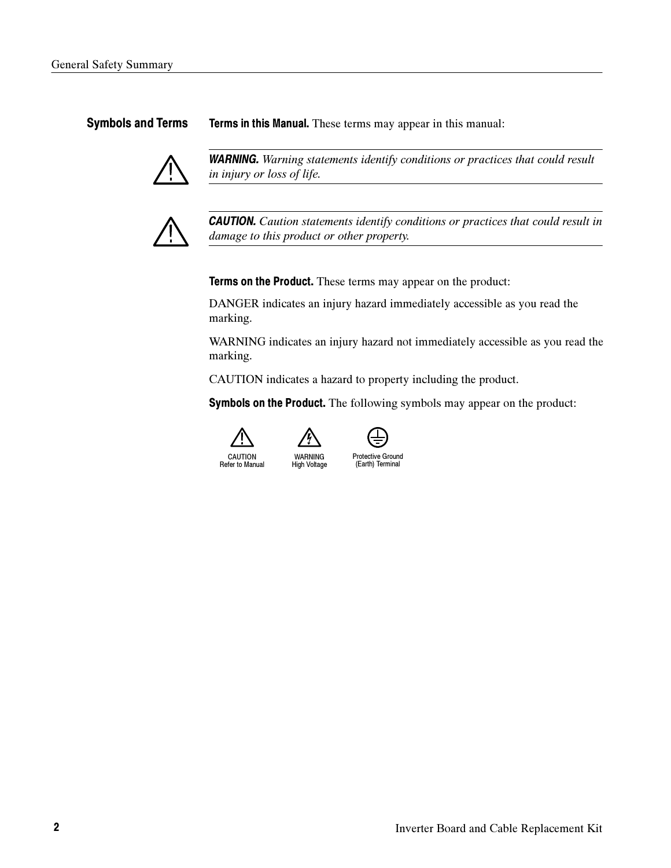#### Symbols and Terms



WARNING. Warning statements identify conditions or practices that could result in injury or loss of life.



**CAUTION.** Caution statements identify conditions or practices that could result in damage to this product or other property.

Terms on the Product. These terms may appear on the product:

Terms in this Manual. These terms may appear in this manual:

DANGER indicates an injury hazard immediately accessible as you read the marking.

WARNING indicates an injury hazard not immediately accessible as you read the marking.

CAUTION indicates a hazard to property including the product.

Symbols on the Product. The following symbols may appear on the product:



WARNING **High Voltage** 



Protective Ground (Earth) Terminal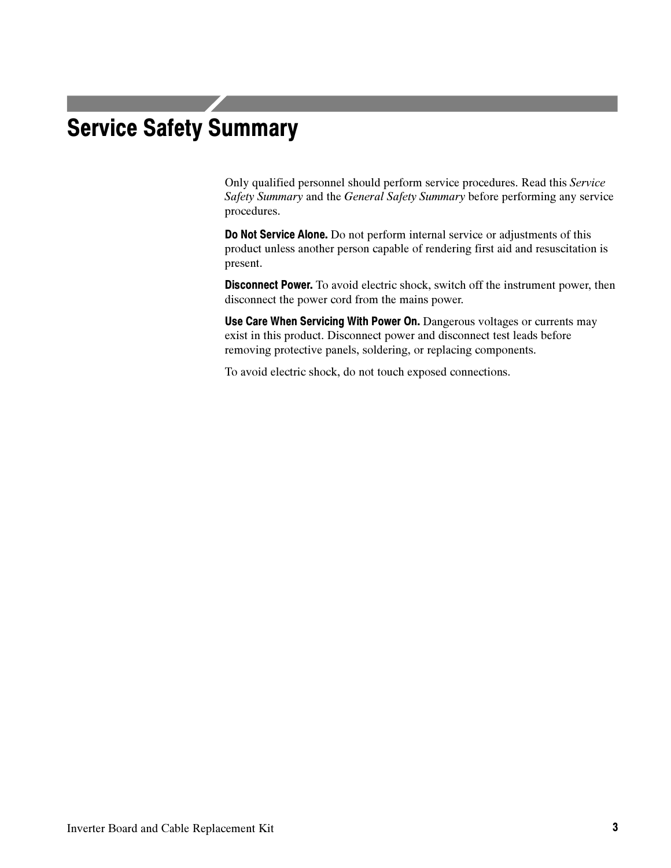# Service Safety Summary

Only qualified personnel should perform service procedures. Read this Service Safety Summary and the General Safety Summary before performing any service procedures.

Do Not Service Alone. Do not perform internal service or adjustments of this product unless another person capable of rendering first aid and resuscitation is present.

Disconnect Power. To avoid electric shock, switch off the instrument power, then disconnect the power cord from the mains power.

Use Care When Servicing With Power On. Dangerous voltages or currents may exist in this product. Disconnect power and disconnect test leads before removing protective panels, soldering, or replacing components.

To avoid electric shock, do not touch exposed connections.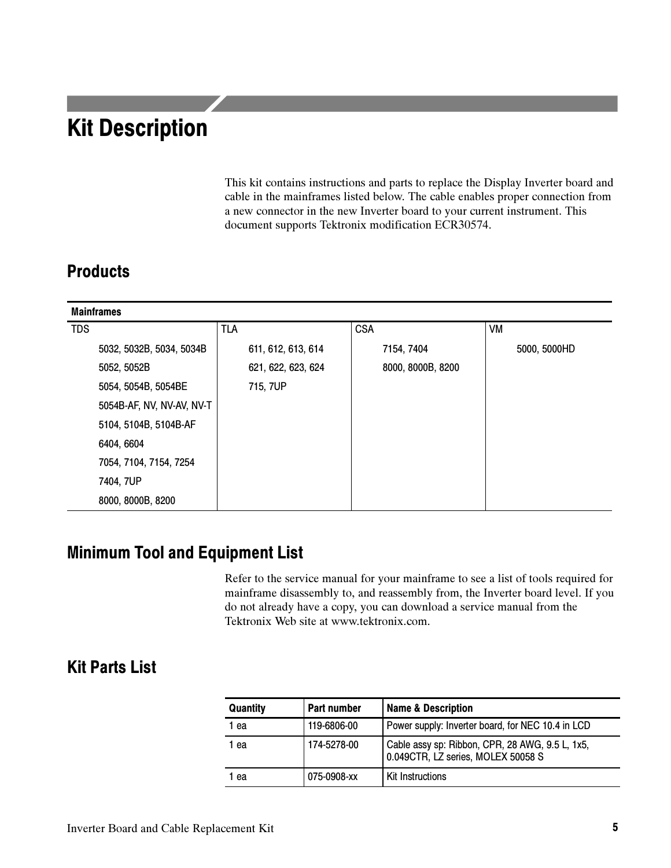## Kit Description

This kit contains instructions and parts to replace the Display Inverter board and cable in the mainframes listed below. The cable enables proper connection from a new connector in the new Inverter board to your current instrument. This document supports Tektronix modification ECR30574.

#### **Products**

| <b>Mainframes</b> |                           |            |                    |            |                   |              |
|-------------------|---------------------------|------------|--------------------|------------|-------------------|--------------|
| <b>TDS</b>        |                           | <b>TLA</b> |                    | <b>CSA</b> |                   | VM           |
|                   | 5032, 5032B, 5034, 5034B  |            | 611, 612, 613, 614 |            | 7154, 7404        | 5000, 5000HD |
|                   | 5052, 5052B               |            | 621, 622, 623, 624 |            | 8000, 8000B, 8200 |              |
|                   | 5054, 5054B, 5054BE       |            | 715, 7UP           |            |                   |              |
|                   | 5054B-AF, NV, NV-AV, NV-T |            |                    |            |                   |              |
|                   | 5104, 5104B, 5104B-AF     |            |                    |            |                   |              |
|                   | 6404, 6604                |            |                    |            |                   |              |
|                   | 7054, 7104, 7154, 7254    |            |                    |            |                   |              |
|                   | 7404, 7UP                 |            |                    |            |                   |              |
|                   | 8000, 8000B, 8200         |            |                    |            |                   |              |

### Minimum Tool and Equipment List

Refer to the service manual for your mainframe to see a list of tools required for mainframe disassembly to, and reassembly from, the Inverter board level. If you do not already have a copy, you can download a service manual from the Tektronix Web site at www.tektronix.com.

### Kit Parts List

| Quantity | <b>Part number</b> | <b>Name &amp; Description</b>                                                         |
|----------|--------------------|---------------------------------------------------------------------------------------|
| 1 ea     | 119-6806-00        | Power supply: Inverter board, for NEC 10.4 in LCD                                     |
| 1 ea     | 174-5278-00        | Cable assy sp: Ribbon, CPR, 28 AWG, 9.5 L, 1x5,<br>0.049CTR, LZ series, MOLEX 50058 S |
| 1 ea     | 075-0908-xx        | Kit Instructions                                                                      |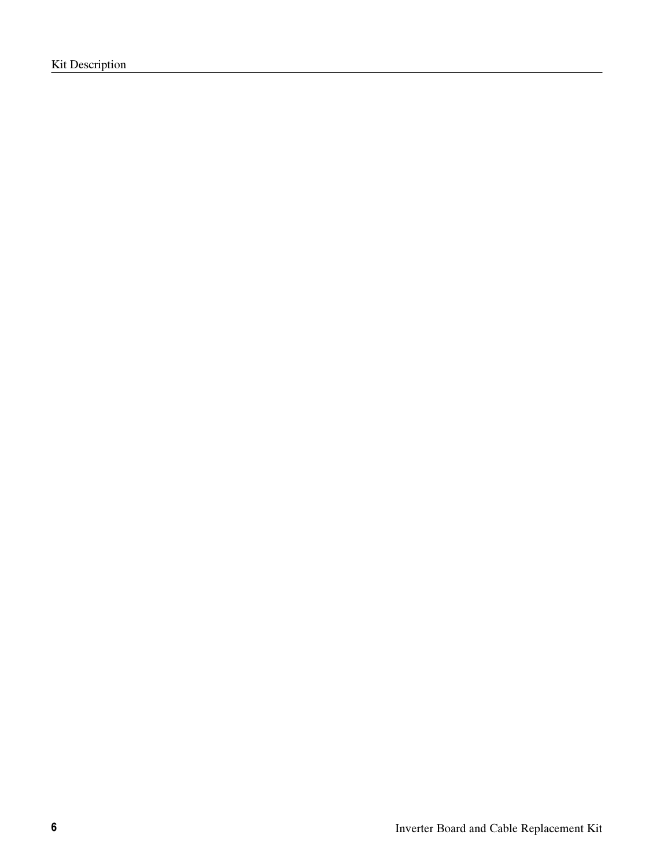Kit Description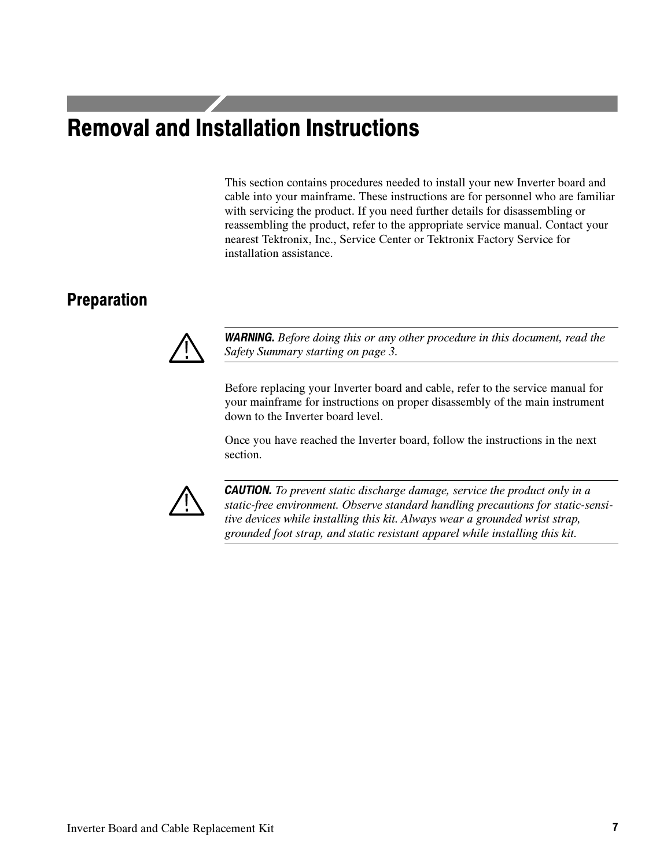## Removal and Installation Instructions

This section contains procedures needed to install your new Inverter board and cable into your mainframe. These instructions are for personnel who are familiar with servicing the product. If you need further details for disassembling or reassembling the product, refer to the appropriate service manual. Contact your nearest Tektronix, Inc., Service Center or Tektronix Factory Service for installation assistance.

#### Preparation



WARNING. Before doing this or any other procedure in this document, read the Safety Summary starting on page 3.

Before replacing your Inverter board and cable, refer to the service manual for your mainframe for instructions on proper disassembly of the main instrument down to the Inverter board level.

Once you have reached the Inverter board, follow the instructions in the next section.



**CAUTION.** To prevent static discharge damage, service the product only in a static-free environment. Observe standard handling precautions for static-sensitive devices while installing this kit. Always wear a grounded wrist strap, grounded foot strap, and static resistant apparel while installing this kit.